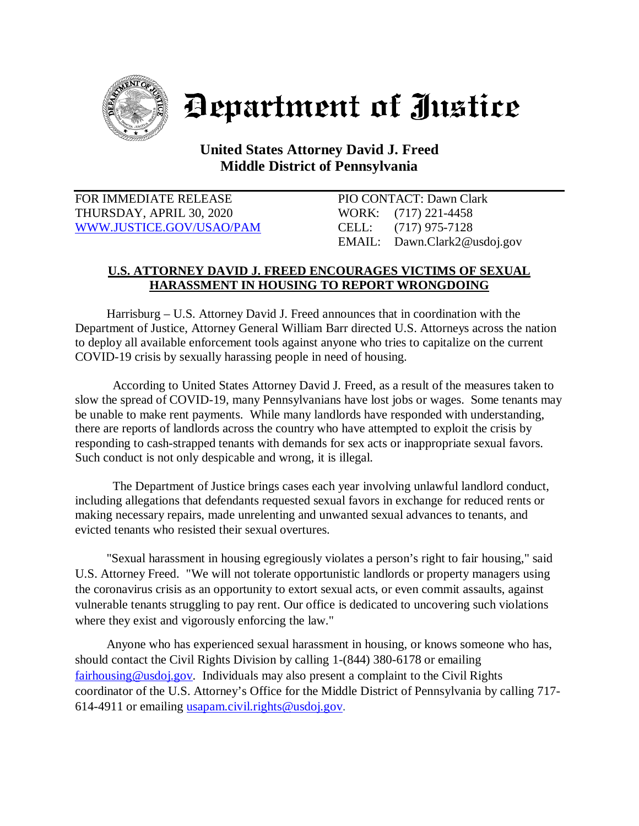

Department of Justice

## **United States Attorney David J. Freed Middle District of Pennsylvania**

FOR IMMEDIATE RELEASE PIO CONTACT: Dawn Clark THURSDAY, APRIL 30, 2020 WORK: (717) 221-4458 [WWW.JUSTICE.GOV/USAO/P](http://www.justice.gov/USAO/)AM CELL: (717) 975-7128

EMAIL: Dawn.Clark2@usdoj.gov

## **U.S. ATTORNEY DAVID J. FREED ENCOURAGES VICTIMS OF SEXUAL HARASSMENT IN HOUSING TO REPORT WRONGDOING**

Harrisburg – U.S. Attorney David J. Freed announces that in coordination with the Department of Justice, Attorney General William Barr directed U.S. Attorneys across the nation to deploy all available enforcement tools against anyone who tries to capitalize on the current COVID-19 crisis by sexually harassing people in need of housing.

According to United States Attorney David J. Freed, as a result of the measures taken to slow the spread of COVID-19, many Pennsylvanians have lost jobs or wages. Some tenants may be unable to make rent payments. While many landlords have responded with understanding, there are reports of landlords across the country who have attempted to exploit the crisis by responding to cash-strapped tenants with demands for sex acts or inappropriate sexual favors. Such conduct is not only despicable and wrong, it is illegal.

The Department of Justice brings cases each year involving unlawful landlord conduct, including allegations that defendants requested sexual favors in exchange for reduced rents or making necessary repairs, made unrelenting and unwanted sexual advances to tenants, and evicted tenants who resisted their sexual overtures.

 "Sexual harassment in housing egregiously violates a person's right to fair housing," said U.S. Attorney Freed. "We will not tolerate opportunistic landlords or property managers using the coronavirus crisis as an opportunity to extort sexual acts, or even commit assaults, against vulnerable tenants struggling to pay rent. Our office is dedicated to uncovering such violations where they exist and vigorously enforcing the law."

 Anyone who has experienced sexual harassment in housing, or knows someone who has, should contact the Civil Rights Division by calling 1-(844) 380-6178 or emailing [fairhousing@usdoj.gov.](mailto:fairhousing@usdoj.gov) Individuals may also present a complaint to the Civil Rights coordinator of the U.S. Attorney's Office for the Middle District of Pennsylvania by calling 717- 614-4911 or emailing [usapam.civil.rights@usdoj.gov.](mailto:usapam.civil.rights@usdoj.gov)